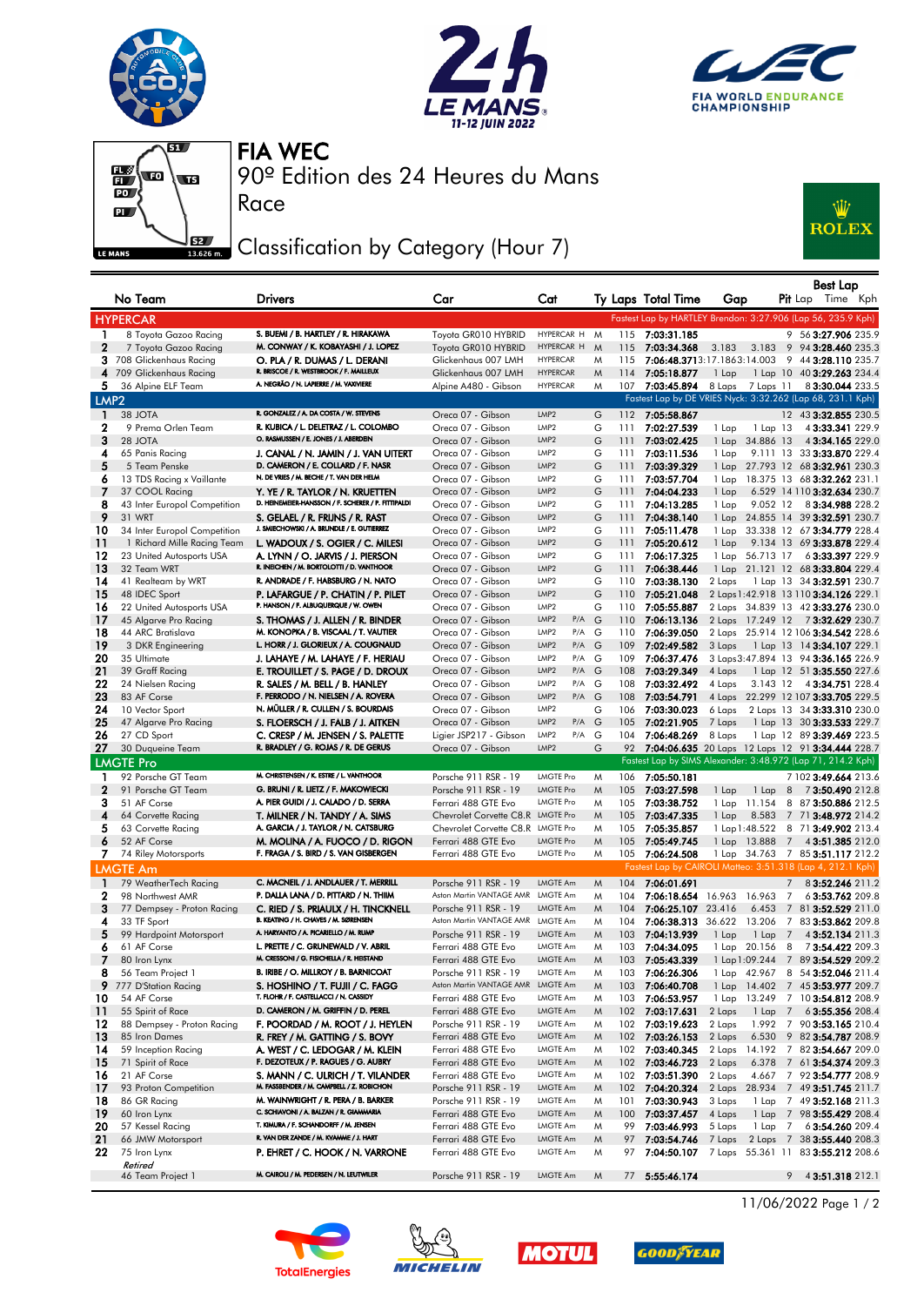







Race

90º Edition des 24 Heures du Mans FIA WEC

## Classification by Category (Hour 7)



|                   | No Team                                           | Drivers                                                                          | Car                                        | Cat                                        |        |            | Ty Laps Total Time                         | Gap    |                  |   | <b>Best Lap</b><br><b>Pit</b> Lap Time Kph                           |
|-------------------|---------------------------------------------------|----------------------------------------------------------------------------------|--------------------------------------------|--------------------------------------------|--------|------------|--------------------------------------------|--------|------------------|---|----------------------------------------------------------------------|
|                   |                                                   |                                                                                  |                                            |                                            |        |            |                                            |        |                  |   |                                                                      |
|                   | <b>HYPERCAR</b>                                   |                                                                                  |                                            |                                            |        |            |                                            |        |                  |   | Fastest Lap by HARTLEY Brendon: 3:27.906 (Lap 56, 235.9 Kph)         |
| 1                 | 8 Toyota Gazoo Racing                             | S. BUEMI / B. HARTLEY / R. HIRAKAWA<br>M. CONWAY / K. KOBAYASHI / J. LOPEZ       | Toyota GR010 HYBRID                        | HYPERCAR H                                 | M      | 115        | 7:03:31.185                                |        |                  |   | 9 56 3:27.906 235.9                                                  |
| $\mathbf 2$       | 7 Toyota Gazoo Racing<br>3 708 Glickenhaus Racing | O. PLA / R. DUMAS / L. DERANI                                                    | Toyota GR010 HYBRID                        | HYPERCAR H<br><b>HYPERCAR</b>              | M<br>M | 115<br>115 | 7:03:34.368<br>7:06:48.3713:17.1863:14.003 | 3.183  | 3.183            |   | 9 94 3:28.460 235.3<br>9 44 3:28.110 235.7                           |
|                   | 4 709 Glickenhaus Racing                          | R. BRISCOE / R. WESTBROOK / F. MAILLEUX                                          | Glickenhaus 007 LMH<br>Glickenhaus 007 LMH | <b>HYPERCAR</b>                            | M      | 114        | 7:05:18.877                                | 1 Lap  |                  |   | 1 Lap 10 40 3:29.263 234.4                                           |
| 5                 | 36 Alpine ELF Team                                | A. NEGRÃO / N. LAPIERRE / M. VAXIVIERE                                           | Alpine A480 - Gibson                       | <b>HYPERCAR</b>                            | M      | 107        | 7:03:45.894                                |        | 8 Laps 7 Laps 11 |   | 83:30.044 233.5                                                      |
| LMP <sub>2</sub>  |                                                   |                                                                                  |                                            |                                            |        |            |                                            |        |                  |   | Fastest Lap by DE VRIES Nyck: 3:32.262 (Lap 68, 231.1 Kph)           |
|                   | 38 JOTA                                           | R. GONZALEZ / A. DA COSTA / W. STEVENS                                           |                                            | LMP <sub>2</sub>                           |        |            | 112 7:05:58.867                            |        |                  |   | 12 43 3:32.855 230.5                                                 |
| 1<br>$\mathbf{2}$ | 9 Prema Orlen Team                                | R. KUBICA / L. DELETRAZ / L. COLOMBO                                             | Oreca 07 - Gibson<br>Oreca 07 - Gibson     | LMP2                                       | G<br>G | 111        | 7:02:27.539                                | 1 Lap  | $1$ Lap $13$     |   | 4 3:33.341 229.9                                                     |
| 3                 | 28 JOTA                                           | O. RASMUSSEN / E. JONES / J. ABERDEIN                                            | Oreca 07 - Gibson                          | LMP <sub>2</sub>                           | G      | 111        | 7:03:02.425                                | 1 Lap  | 34.886 13        |   | 43:34.165229.0                                                       |
| 4                 | 65 Panis Racing                                   | J. CANAL / N. JAMIN / J. VAN UITERT                                              | Oreca 07 - Gibson                          | LMP <sub>2</sub>                           | G      | 111        | 7:03:11.536                                | 1 Lap  |                  |   | 9.111 13 33 3:33.870 229.4                                           |
| 5                 | 5 Team Penske                                     | D. CAMERON / E. COLLARD / F. NASR                                                | Oreca 07 - Gibson                          | LMP <sub>2</sub>                           | G      | 111        | 7:03:39.329                                |        |                  |   | 1 Lap 27.793 12 68 3:32.961 230.3                                    |
| 6                 | 13 TDS Racing x Vaillante                         | N. DE VRIES / M. BECHE / T. VAN DER HELM                                         | Oreca 07 - Gibson                          | LMP <sub>2</sub>                           | G      | 111        | 7:03:57.704                                | 1 Lap  |                  |   | 18.375 13 68 3:32.262 231.1                                          |
| 7                 | 37 COOL Racing                                    | Y. YE / R. TAYLOR / N. KRUETTEN                                                  | Oreca 07 - Gibson                          | LMP2                                       | G      | 111        | 7:04:04.233                                | 1 Lap  |                  |   | 6.529 14 110 3:32.634 230.7                                          |
| 8                 | 43 Inter Europol Competition                      | D. HEINEMEIER-HANSSON / F. SCHERER / P. FITTIPALDI                               | Oreca 07 - Gibson                          | LMP <sub>2</sub>                           | G      | 111        | 7:04:13.285                                | 1 Lap  | 9.052 12         |   | 83:34.988 228.2                                                      |
| 9                 | 31 WRT                                            | S. GELAEL / R. FRIJNS / R. RAST                                                  | Oreca 07 - Gibson                          | LMP <sub>2</sub>                           | G      | 111        | 7:04:38.140                                | 1 Lap  |                  |   | 24.855 14 39 3:32.591 230.7                                          |
| 10                | 34 Inter Europol Competition                      | J. SMIECHOWSKI / A. BRUNDLE / E. GUTIERREZ                                       | Oreca 07 - Gibson                          | LMP <sub>2</sub>                           | G      | 111        | 7:05:11.478                                | 1 Lap  |                  |   | 33.338 12 67 3:34.779 228.4                                          |
| 11                | 1 Richard Mille Racing Team                       | L. WADOUX / S. OGIER / C. MILESI                                                 | Oreca 07 - Gibson                          | LMP <sub>2</sub>                           | G      | 111        | 7:05:20.612                                | 1 Lap  |                  |   | 9.134 13 69 3:33.878 229.4                                           |
| 12                | 23 United Autosports USA                          | A. LYNN / O. JARVIS / J. PIERSON                                                 | Oreca 07 - Gibson                          | LMP <sub>2</sub>                           | G      | 111        | 7:06:17.325                                | 1 Lap  | 56.713 17        |   | 6 3:33.397 229.9                                                     |
| 13                | 32 Team WRT                                       | R. INEICHEN / M. BORTOLOTTI / D. VANTHOOR                                        | Oreca 07 - Gibson                          | LMP <sub>2</sub>                           | G      | 111        | 7:06:38.446                                |        |                  |   | 1 Lap 21.121 12 68 3:33.804 229.4                                    |
| 14                | 41 Realteam by WRT                                | R. ANDRADE / F. HABSBURG / N. NATO                                               | Oreca 07 - Gibson                          | LMP <sub>2</sub>                           | G      | 110        | 7:03:38.130                                | 2 Laps |                  |   | 1 Lap 13 34 3:32.591 230.7                                           |
| 15                | 48 IDEC Sport                                     | P. LAFARGUE / P. CHATIN / P. PILET<br>P. HANSON / F. ALBUQUERQUE / W. OWEN       | Oreca 07 - Gibson                          | LMP <sub>2</sub>                           | G      |            | 110 7:05:21.048                            |        |                  |   | 2 Laps 1:42.918 13 110 3:34.126 229.1                                |
| 16                | 22 United Autosports USA                          |                                                                                  | Oreca 07 - Gibson                          | LMP <sub>2</sub>                           | G      | 110        | 7:05:55.887                                |        |                  |   | 2 Laps 34.839 13 42 3:33.276 230.0                                   |
| 17<br>18          | 45 Algarve Pro Racing                             | S. THOMAS / J. ALLEN / R. BINDER<br>M. KONOPKA / B. VISCAAL / T. VAUTIER         | Oreca 07 - Gibson<br>Oreca 07 - Gibson     | LMP <sub>2</sub><br>P/A G<br>LMP2<br>P/A G |        | 110        | 7:06:13.136                                |        |                  |   | 2 Laps 17.249 12 7 3:32.629 230.7                                    |
| 19                | 44 ARC Bratislava<br>3 DKR Engineering            | L. HORR / J. GLORIEUX / A. COUGNAUD                                              | Oreca 07 - Gibson                          | LMP <sub>2</sub><br>P/A G                  |        | 110<br>109 | 7:06:39.050<br>7:02:49.582                 | 3 Laps |                  |   | 2 Laps 25.914 12 106 3:34.542 228.6<br>1 Lap 13 14 3:34.107 229.1    |
| 20                | 35 Ultimate                                       | J. LAHAYE / M. LAHAYE / F. HERIAU                                                | Oreca 07 - Gibson                          | LMP2<br>P/A G                              |        | 109        | 7:06:37.476                                |        |                  |   | 3 Laps 3:47.894 13 94 3:36.165 226.9                                 |
| 21                | 39 Graff Racing                                   | E. TROUILLET / S. PAGE / D. DROUX                                                | Oreca 07 - Gibson                          | LMP <sub>2</sub><br>P/A G                  |        | 108        | 7:03:29.349                                | 4 Laps |                  |   | 1 Lap 12 51 3:35.550 227.6                                           |
| 22                | 24 Nielsen Racing                                 | R. SALES / M. BELL / B. HANLEY                                                   | Oreca 07 - Gibson                          | LMP2<br>P/A G                              |        | 108        | 7:03:32.492                                | 4 Laps | 3.143 12         |   | 4 3:34.751 228.4                                                     |
| 23                | 83 AF Corse                                       | F. PERRODO / N. NIELSEN / A. ROVERA                                              | Oreca 07 - Gibson                          | LMP2<br>P/A G                              |        |            | 108 7:03:54.791                            |        |                  |   | 4 Laps 22.299 12 107 3:33.705 229.5                                  |
| 24                | 10 Vector Sport                                   | N. MÜLLER / R. CULLEN / S. BOURDAIS                                              | Oreca 07 - Gibson                          | LMP <sub>2</sub>                           | G      | 106        | 7:03:30.023                                | 6 Laps |                  |   | 2 Laps 13 34 3:33.310 230.0                                          |
| 25                | 47 Algarve Pro Racing                             | S. FLOERSCH / J. FALB / J. AITKEN                                                | Oreca 07 - Gibson                          | LMP <sub>2</sub><br>P/A G                  |        | 105        | 7:02:21.905                                | 7 Laps |                  |   | 1 Lap 13 30 3:33.533 229.7                                           |
| 26                | 27 CD Sport                                       | C. CRESP / M. JENSEN / S. PALETTE                                                | Ligier JSP217 - Gibson                     | LMP2<br>P/A G                              |        | 104        | 7:06:48.269                                | 8 Laps |                  |   | 1 Lap 12 89 3:39.469 223.5                                           |
| 27                | 30 Duqueine Team                                  | R. BRADLEY / G. ROJAS / R. DE GERUS                                              | Oreca 07 - Gibson                          | LMP2                                       | G      | 92         |                                            |        |                  |   | 7:04:06.635 20 Laps 12 Laps 12 91 3:34.444 228.7                     |
|                   | <b>LMGTE Pro</b>                                  |                                                                                  |                                            |                                            |        |            |                                            |        |                  |   | Fastest Lap by SIMS Alexander: 3:48.972 (Lap 71, 214.2 Kph)          |
| 1                 | 92 Porsche GT Team                                | M. CHRISTENSEN / K. ESTRE / L. VANTHOOR                                          | Porsche 911 RSR - 19                       | <b>LMGTE Pro</b>                           | M      | 106        | 7:05:50.181                                |        |                  |   | 7 102 3:49.664 213.6                                                 |
| $\mathbf{2}$      | 91 Porsche GT Team                                | G. BRUNI / R. LIETZ / F. MAKOWIECKI                                              | Porsche 911 RSR - 19                       | <b>LMGTE Pro</b>                           | M      |            | 105 7:03:27.598                            | 1 Lap  | $1$ Lap $8$      |   | 7 3:50.490 212.8                                                     |
| З                 | 51 AF Corse                                       | A. PIER GUIDI / J. CALADO / D. SERRA                                             | Ferrari 488 GTE Evo                        | <b>LMGTE Pro</b>                           | M      | 105        | 7:03:38.752                                |        | 1 Lap 11.154     |   | 8 87 3:50.886 212.5                                                  |
| 4                 | 64 Corvette Racing                                | T. MILNER / N. TANDY / A. SIMS                                                   | Chevrolet Corvette C8.R LMGTE Pro          |                                            | M      | 105        | 7:03:47.335                                | 1 Lap  | 8.583            |   | 7 71 3:48.972 214.2                                                  |
| 5                 | 63 Corvette Racing                                | A. GARCIA / J. TAYLOR / N. CATSBURG                                              | Chevrolet Corvette C8, R LMGTE Pro         |                                            | M      | 105        | 7:05:35.857                                |        | 1 Lap 1:48.522   |   | 8 71 3:49.902 213.4                                                  |
| 6                 | 52 AF Corse                                       | M. MOLINA / A. FUOCO / D. RIGON                                                  | Ferrari 488 GTE Evo                        | <b>LMGTE Pro</b>                           | M      | 105        | 7:05:49.745                                |        | 1 Lap 13.888 7   |   | 4 3:51.385 212.0                                                     |
|                   | 7 74 Riley Motorsports                            | F. FRAGA / S. BIRD / S. VAN GISBERGEN                                            | Ferrari 488 GTE Evo                        | <b>LMGTE Pro</b>                           | M      |            | 105 7:06:24.508                            |        |                  |   | 1 Lap 34.763 7 85 3:51.117 212.2                                     |
|                   | <b>LMGTE Am</b>                                   |                                                                                  |                                            |                                            |        |            |                                            |        |                  |   | Fastest Lap by CAIROLI Matteo: 3:51.318 (Lap 4, 212.1 Kph)           |
| $\blacksquare$    | 79 WeatherTech Racing                             | C. MACNEIL / J. ANDLAUER / T. MERRILL                                            | Porsche 911 RSR - 19                       | LMGTE Am                                   | M      | 104        | 7:06:01.691                                |        |                  | 7 | 83:52.246 211.2                                                      |
| 2                 | 98 Northwest AMR                                  | P. DALLA LANA / D. PITTARD / N. THIM                                             | Aston Martin VANTAGE AMR LMGTE Am          |                                            | M      | 104        | 7:06:18.654 16.963 16.963                  |        |                  | 7 | 63:53.762 209.8                                                      |
| 3                 | 77 Dempsey - Proton Racing                        | C. RIED / S. PRIAULX / H. TINCKNELL<br>B. KEATING / H. CHAVES / M. SØRENSEN      | Porsche 911 RSR - 19                       | LMGTE Am                                   | M      | 104        | 7:06:25.107 23.416                         |        |                  |   | 6.453 7 81 3:52.529 211.0                                            |
| 4                 | 33 TF Sport                                       |                                                                                  | Aston Martin VANTAGE AMR LMGTE Am          |                                            | M      | 104        |                                            |        |                  |   | 7:06:38.313 36.622 13.206 7 83 3:53.862 209.8                        |
| 5                 | 99 Hardpoint Motorsport                           | A. HARYANTO / A. PICARIELLO / M. RUMP                                            | Porsche 911 RSR - 19                       | LMGTE Am                                   | M      | 103        | 7:04:13.939                                | 1 Lap  | $1$ Lap 7        |   | 4 3:52.134 211.3                                                     |
| 6<br>7            | 61 AF Corse<br>80 Iron Lynx                       | L. PRETTE / C. GRUNEWALD / V. ABRIL<br>M. CRESSONI / G. FISICHELLA / R. HEISTAND | Ferrari 488 GTE Evo<br>Ferrari 488 GTE Evo | LMGTE Am<br><b>LMGTE Am</b>                | M<br>M |            | 103 7:04:34.095<br>103 7:05:43.339         |        |                  |   | 1 Lap 20.156 8 73:54.422 209.3<br>1 Lap 1:09.244 7 89 3:54.529 209.2 |
| 8                 | 56 Team Project 1                                 | B. IRIBE / O. MILLROY / B. BARNICOAT                                             | Porsche 911 RSR - 19                       | LMGTE Am                                   | M      |            | 103 7:06:26.306                            |        |                  |   | 1 Lap 42.967 8 54 3:52.046 211.4                                     |
| 9.                | 777 D'Station Racing                              | S. HOSHINO / T. FUJII / C. FAGG                                                  | Aston Martin VANTAGE AMR LMGTE Am          |                                            | M      | 103        | 7:06:40.708                                |        |                  |   | 1 Lap 14.402 7 45 3:53.977 209.7                                     |
| 10                | 54 AF Corse                                       | T. FLOHR / F. CASTELLACCI / N. CASSIDY                                           | Ferrari 488 GTE Evo                        | LMGTE Am                                   | M      | 103        | 7:06:53.957                                | 1 Lap  | 13.249           |   | 7 10 3:54.812 208.9                                                  |
| 11                | 55 Spirit of Race                                 | D. CAMERON / M. GRIFFIN / D. PEREL                                               | Ferrari 488 GTE Evo                        | LMGTE Am                                   | M      | 102        | 7:03:17.631                                | 2 Laps |                  |   | 1 Lap 7 6 3:55.356 208.4                                             |
| 12                | 88 Dempsey - Proton Racing                        | F. POORDAD / M. ROOT / J. HEYLEN                                                 | Porsche 911 RSR - 19                       | LMGTE Am                                   | M      | 102        | 7:03:19.623                                | 2 Laps | 1.992            |   | 7 90 3:53.165 210.4                                                  |
| 13                | 85 Iron Dames                                     | R. FREY / M. GATTING / S. BOVY                                                   | Ferrari 488 GTE Evo                        | LMGTE Am                                   | M      | 102        | 7:03:26.153                                | 2 Laps | 6.530            |   | 9 82 3:54.787 208.9                                                  |
| 14                | 59 Inception Racing                               | A. WEST / C. LEDOGAR / M. KLEIN                                                  | Ferrari 488 GTE Evo                        | LMGTE Am                                   | M      | 102        | 7:03:40.345                                |        |                  |   | 2 Laps 14.192 7 82 3:54.667 209.0                                    |
| 15                | 71 Spirit of Race                                 | F. DEZOTEUX / P. RAGUES / G. AUBRY                                               | Ferrari 488 GTE Evo                        | LMGTE Am                                   | M      | 102        | 7:03:46.723                                | 2 Laps | 6.378            |   | 7 61 3:54.374 209.3                                                  |
| 16                | 21 AF Corse                                       | S. MANN / C. ULRICH / T. VILANDER                                                | Ferrari 488 GTE Evo                        | LMGTE Am                                   | M      | 102        | 7:03:51.390                                | 2 Laps | 4.667            |   | 7 92 3:54.777 208.9                                                  |
| 17                | 93 Proton Competition                             | M. FASSBENDER / M. CAMPBELL / Z. ROBICHON                                        | Porsche 911 RSR - 19                       | LMGTE Am                                   | M      |            | 102 7:04:20.324                            |        |                  |   | 2 Laps 28.934 7 49 3:51.745 211.7                                    |
| 18                | 86 GR Racing                                      | M. WAINWRIGHT / R. PERA / B. BARKER                                              | Porsche 911 RSR - 19                       | LMGTE Am                                   | M      | 101        | 7:03:30.943                                | 3 Laps |                  |   | 1 Lap 7 49 3:52.168 211.3                                            |
| 19                | 60 Iron Lynx                                      | C. SCHIAVONI / A. BALZAN / R. GIAMMARIA                                          | Ferrari 488 GTE Evo                        | LMGTE Am                                   | M      | 100        | 7:03:37.457                                | 4 Laps |                  |   | 1 Lap 7 98 3:55.429 208.4                                            |
| 20                | 57 Kessel Racing                                  | T. KIMURA / F. SCHANDORFF / M. JENSEN<br>R. VAN DER ZANDE / M. KVAMME / J. HART  | Ferrari 488 GTE Evo                        | LMGTE Am                                   | M      | 99         | 7:03:46.993                                | 5 Laps |                  |   | 1 Lap 7 6 3:54.260 209.4                                             |
| 21                | 66 JMW Motorsport                                 |                                                                                  | Ferrari 488 GTE Evo                        | LMGTE Am                                   | M      | 97         | 7:03:54.746                                | 7 Laps |                  |   | 2 Laps 7 38 3:55.440 208.3                                           |
| 22                | 75 Iron Lynx                                      | P. EHRET / C. HOOK / N. VARRONE                                                  | Ferrari 488 GTE Evo                        | LMGTE Am                                   | M      | 97         | 7:04:50.107                                |        |                  |   | 7 Laps 55.361 11 83 3:55.212 208.6                                   |
|                   | Retired<br>46 Team Project 1                      | M. CAIROLI / M. PEDERSEN / N. LEUTWILER                                          | Porsche 911 RSR - 19                       | LMGTE Am                                   | M      | 77         | 5:55:46.174                                |        |                  | 9 | 4 3:51.318 212.1                                                     |
|                   |                                                   |                                                                                  |                                            |                                            |        |            |                                            |        |                  |   |                                                                      |









11/06/2022 Page 1 / 2